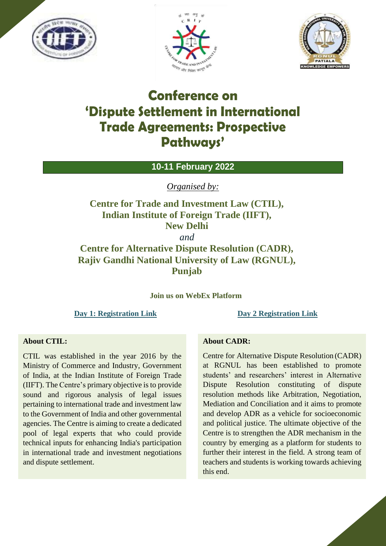





# **Conference on 'Dispute Settlement in International Trade Agreements: Prospective Pathways'**

**10-11 February 2022**

*Organised by:*

**Centre for Trade and Investment Law (CTIL), Indian Institute of Foreign Trade (IIFT), New Delhi**

*and*

**Centre for Alternative Dispute Resolution (CADR), Rajiv Gandhi National University of Law (RGNUL), Punjab**

**Join us on WebEx Platform**

**[Day 1: Registration Link](https://ctil.my.webex.com/ctil.my/j.php?RGID=rc557b911f94ee1533d7cfba606c87ef1) [Day 2 Registration Link](https://ctil.my.webex.com/ctil.my/j.php?RGID=r0c0e6dd6fdb445f1e417ec1e1ef5bcbf)**

### **About CTIL:**

CTIL was established in the year 2016 by the Ministry of Commerce and Industry, Government of India, at the Indian Institute of Foreign Trade (IIFT). The Centre's primary objective is to provide sound and rigorous analysis of legal issues pertaining to international trade and investment law to the Government of India and other governmental agencies. The Centre is aiming to create a dedicated pool of legal experts that who could provide technical inputs for enhancing India's participation in international trade and investment negotiations and dispute settlement.

### **About CADR:**

Centre for Alternative Dispute Resolution (CADR) at RGNUL has been established to promote students' and researchers' interest in Alternative Dispute Resolution constituting of dispute resolution methods like Arbitration, Negotiation, Mediation and Conciliation and it aims to promote and develop ADR as a vehicle for socioeconomic and political justice. The ultimate objective of the Centre is to strengthen the ADR mechanism in the country by emerging as a platform for students to further their interest in the field. A strong team of teachers and students is working towards achieving this end.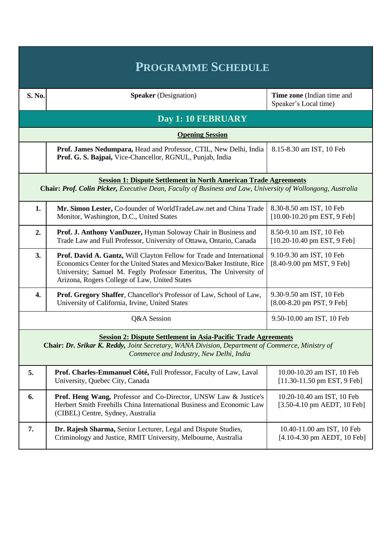| <b>PROGRAMME SCHEDULE</b>                                                                                                                                                                                           |                                                                                                                                                                                                                                                                         |                                                                                 |  |  |  |
|---------------------------------------------------------------------------------------------------------------------------------------------------------------------------------------------------------------------|-------------------------------------------------------------------------------------------------------------------------------------------------------------------------------------------------------------------------------------------------------------------------|---------------------------------------------------------------------------------|--|--|--|
| S. No.                                                                                                                                                                                                              | <b>Speaker</b> (Designation)                                                                                                                                                                                                                                            | Time zone (Indian time and<br>Speaker's Local time)                             |  |  |  |
| Day 1: 10 FEBRUARY                                                                                                                                                                                                  |                                                                                                                                                                                                                                                                         |                                                                                 |  |  |  |
| <b>Opening Session</b>                                                                                                                                                                                              |                                                                                                                                                                                                                                                                         |                                                                                 |  |  |  |
|                                                                                                                                                                                                                     | Prof. James Nedumpara, Head and Professor, CTIL, New Delhi, India<br>Prof. G. S. Bajpai, Vice-Chancellor, RGNUL, Punjab, India                                                                                                                                          | 8.15-8.30 am IST, 10 Feb                                                        |  |  |  |
| <b>Session 1: Dispute Settlement in North American Trade Agreements</b><br>Chair: Prof. Colin Picker, Executive Dean, Faculty of Business and Law, University of Wollongong, Australia                              |                                                                                                                                                                                                                                                                         |                                                                                 |  |  |  |
| 1.                                                                                                                                                                                                                  | Mr. Simon Lester, Co-founder of WorldTradeLaw.net and China Trade<br>Monitor, Washington, D.C., United States                                                                                                                                                           | 8.30-8.50 am IST, 10 Feb<br>$[10.00-10.20$ pm EST, 9 Feb]                       |  |  |  |
| 2.                                                                                                                                                                                                                  | Prof. J. Anthony VanDuzer, Hyman Soloway Chair in Business and<br>Trade Law and Full Professor, University of Ottawa, Ontario, Canada                                                                                                                                   | 8.50-9.10 am IST, 10 Feb<br>$[10.20 - 10.40$ pm EST, 9 Feb]                     |  |  |  |
| 3.                                                                                                                                                                                                                  | Prof. David A. Gantz, Will Clayton Fellow for Trade and International<br>Economics Center for the United States and Mexico/Baker Institute, Rice<br>University; Samuel M. Fegtly Professor Emeritus, The University of<br>Arizona, Rogers College of Law, United States | 9.10-9.30 am IST, 10 Feb<br>$[8.40 - 9.00$ pm MST, 9 Feb]                       |  |  |  |
| 4.                                                                                                                                                                                                                  | Prof. Gregory Shaffer, Chancellor's Professor of Law, School of Law,<br>University of California, Irvine, United States                                                                                                                                                 | 9.30-9.50 am IST, 10 Feb<br>$[8.00-8.20 \text{ pm } \text{PST}, 9 \text{ Feb}]$ |  |  |  |
|                                                                                                                                                                                                                     | Q&A Session                                                                                                                                                                                                                                                             | 9.50-10.00 am IST, 10 Feb                                                       |  |  |  |
| <b>Session 2: Dispute Settlement in Asia-Pacific Trade Agreements</b><br>Chair: Dr. Srikar K. Reddy, Joint Secretary, WANA Division, Department of Commerce, Ministry of<br>Commerce and Industry, New Delhi, India |                                                                                                                                                                                                                                                                         |                                                                                 |  |  |  |
| 5.                                                                                                                                                                                                                  | Prof. Charles-Emmanuel Côté, Full Professor, Faculty of Law, Laval<br>University, Quebec City, Canada                                                                                                                                                                   | 10.00-10.20 am IST, 10 Feb<br>$[11.30-11.50$ pm EST, 9 Feb]                     |  |  |  |
| 6.                                                                                                                                                                                                                  | Prof. Heng Wang, Professor and Co-Director, UNSW Law & Justice's<br>Herbert Smith Freehills China International Business and Economic Law<br>(CIBEL) Centre, Sydney, Australia                                                                                          | 10.20-10.40 am IST, 10 Feb<br>$[3.50-4.10$ pm AEDT, 10 Feb]                     |  |  |  |
| 7.                                                                                                                                                                                                                  | Dr. Rajesh Sharma, Senior Lecturer, Legal and Dispute Studies,<br>Criminology and Justice, RMIT University, Melbourne, Australia                                                                                                                                        | 10.40-11.00 am IST, 10 Feb<br>$[4.10-4.30$ pm AEDT, 10 Feb]                     |  |  |  |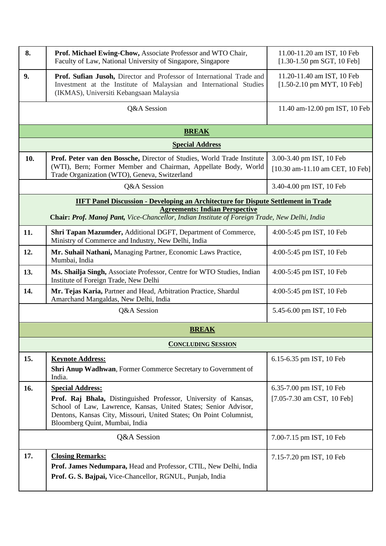| 8.                                                                                        | Prof. Michael Ewing-Chow, Associate Professor and WTO Chair,<br>Faculty of Law, National University of Singapore, Singapore                                                                                                                                           | 11.00-11.20 am IST, 10 Feb<br>$[1.30-1.50$ pm SGT, 10 Feb]  |  |  |  |  |
|-------------------------------------------------------------------------------------------|-----------------------------------------------------------------------------------------------------------------------------------------------------------------------------------------------------------------------------------------------------------------------|-------------------------------------------------------------|--|--|--|--|
| 9.                                                                                        | Prof. Sufian Jusoh, Director and Professor of International Trade and<br>Investment at the Institute of Malaysian and International Studies<br>(IKMAS), Universiti Kebangsaan Malaysia                                                                                | 11.20-11.40 am IST, 10 Feb<br>$[1.50-2.10$ pm MYT, 10 Feb]  |  |  |  |  |
|                                                                                           | Q&A Session                                                                                                                                                                                                                                                           | 11.40 am-12.00 pm IST, 10 Feb                               |  |  |  |  |
|                                                                                           | <b>BREAK</b>                                                                                                                                                                                                                                                          |                                                             |  |  |  |  |
|                                                                                           | <b>Special Address</b>                                                                                                                                                                                                                                                |                                                             |  |  |  |  |
| 10.                                                                                       | Prof. Peter van den Bossche, Director of Studies, World Trade Institute<br>(WTI), Bern; Former Member and Chairman, Appellate Body, World<br>Trade Organization (WTO), Geneva, Switzerland                                                                            | 3.00-3.40 pm IST, 10 Feb<br>[10.30 am-11.10 am CET, 10 Feb] |  |  |  |  |
|                                                                                           | Q&A Session                                                                                                                                                                                                                                                           | 3.40-4.00 pm IST, 10 Feb                                    |  |  |  |  |
| <b>IIFT Panel Discussion - Developing an Architecture for Dispute Settlement in Trade</b> |                                                                                                                                                                                                                                                                       |                                                             |  |  |  |  |
|                                                                                           | <b>Agreements: Indian Perspective</b><br>Chair: Prof. Manoj Pant, Vice-Chancellor, Indian Institute of Foreign Trade, New Delhi, India                                                                                                                                |                                                             |  |  |  |  |
| 11.                                                                                       | Shri Tapan Mazumder, Additional DGFT, Department of Commerce,<br>Ministry of Commerce and Industry, New Delhi, India                                                                                                                                                  | 4:00-5:45 pm IST, 10 Feb                                    |  |  |  |  |
| 12.                                                                                       | Mr. Suhail Nathani, Managing Partner, Economic Laws Practice,<br>Mumbai, India                                                                                                                                                                                        | 4:00-5:45 pm IST, 10 Feb                                    |  |  |  |  |
| 13.                                                                                       | Ms. Shailja Singh, Associate Professor, Centre for WTO Studies, Indian<br>Institute of Foreign Trade, New Delhi                                                                                                                                                       | 4:00-5:45 pm IST, 10 Feb                                    |  |  |  |  |
| 14.                                                                                       | Mr. Tejas Karia, Partner and Head, Arbitration Practice, Shardul<br>Amarchand Mangaldas, New Delhi, India                                                                                                                                                             | 4:00-5:45 pm IST, 10 Feb                                    |  |  |  |  |
|                                                                                           | Q&A Session                                                                                                                                                                                                                                                           | 5.45-6.00 pm IST, 10 Feb                                    |  |  |  |  |
|                                                                                           | <b>BREAK</b>                                                                                                                                                                                                                                                          |                                                             |  |  |  |  |
|                                                                                           | <b>CONCLUDING SESSION</b>                                                                                                                                                                                                                                             |                                                             |  |  |  |  |
| 15.                                                                                       | <b>Keynote Address:</b><br>Shri Anup Wadhwan, Former Commerce Secretary to Government of<br>India.                                                                                                                                                                    | 6.15-6.35 pm IST, 10 Feb                                    |  |  |  |  |
| 16.                                                                                       | <b>Special Address:</b><br>Prof. Raj Bhala, Distinguished Professor, University of Kansas,<br>School of Law, Lawrence, Kansas, United States; Senior Advisor,<br>Dentons, Kansas City, Missouri, United States; On Point Columnist,<br>Bloomberg Quint, Mumbai, India | 6.35-7.00 pm IST, 10 Feb<br>[7.05-7.30 am CST, 10 Feb]      |  |  |  |  |
|                                                                                           | Q&A Session                                                                                                                                                                                                                                                           | 7.00-7.15 pm IST, 10 Feb                                    |  |  |  |  |
| 17.                                                                                       | <b>Closing Remarks:</b><br>Prof. James Nedumpara, Head and Professor, CTIL, New Delhi, India<br>Prof. G. S. Bajpai, Vice-Chancellor, RGNUL, Punjab, India                                                                                                             | 7.15-7.20 pm IST, 10 Feb                                    |  |  |  |  |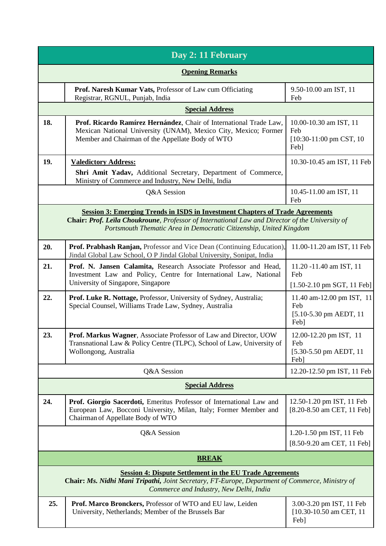| Day 2: 11 February                                                                                                                                                                                                                                            |                                                                                                                                                                                           |                                                                                 |  |  |
|---------------------------------------------------------------------------------------------------------------------------------------------------------------------------------------------------------------------------------------------------------------|-------------------------------------------------------------------------------------------------------------------------------------------------------------------------------------------|---------------------------------------------------------------------------------|--|--|
| <b>Opening Remarks</b>                                                                                                                                                                                                                                        |                                                                                                                                                                                           |                                                                                 |  |  |
|                                                                                                                                                                                                                                                               | Prof. Naresh Kumar Vats, Professor of Law cum Officiating<br>Registrar, RGNUL, Punjab, India                                                                                              | 9.50-10.00 am IST, 11<br>Feb                                                    |  |  |
|                                                                                                                                                                                                                                                               | <b>Special Address</b>                                                                                                                                                                    |                                                                                 |  |  |
| 18.                                                                                                                                                                                                                                                           | Prof. Ricardo Ramírez Hernández, Chair of International Trade Law,<br>Mexican National University (UNAM), Mexico City, Mexico; Former<br>Member and Chairman of the Appellate Body of WTO | 10.00-10.30 am IST, 11<br>Feb<br>[10:30-11:00 pm CST, 10]<br>Feb]               |  |  |
| 19.                                                                                                                                                                                                                                                           | <b>Valedictory Address:</b>                                                                                                                                                               | 10.30-10.45 am IST, 11 Feb                                                      |  |  |
|                                                                                                                                                                                                                                                               | Shri Amit Yadav, Additional Secretary, Department of Commerce,<br>Ministry of Commerce and Industry, New Delhi, India                                                                     |                                                                                 |  |  |
|                                                                                                                                                                                                                                                               | Q&A Session                                                                                                                                                                               | 10.45-11.00 am IST, 11<br>Feb                                                   |  |  |
| <b>Session 3: Emerging Trends in ISDS in Investment Chapters of Trade Agreements</b><br>Chair: Prof. Leila Choukroune, Professor of International Law and Director of the University of<br>Portsmouth Thematic Area in Democratic Citizenship, United Kingdom |                                                                                                                                                                                           |                                                                                 |  |  |
| 20.                                                                                                                                                                                                                                                           | Prof. Prabhash Ranjan, Professor and Vice Dean (Continuing Education),<br>Jindal Global Law School, O P Jindal Global University, Sonipat, India                                          | 11.00-11.20 am IST, 11 Feb                                                      |  |  |
| 21.                                                                                                                                                                                                                                                           | Prof. N. Jansen Calamita, Research Associate Professor and Head,<br>Investment Law and Policy, Centre for International Law, National<br>University of Singapore, Singapore               | 11.20 -11.40 am IST, 11<br>Feb<br>$[1.50-2.10 \text{ pm } SGT, 11 \text{ Feb}]$ |  |  |
| 22.                                                                                                                                                                                                                                                           | Prof. Luke R. Nottage, Professor, University of Sydney, Australia;<br>Special Counsel, Williams Trade Law, Sydney, Australia                                                              | 11.40 am-12.00 pm IST, 11<br>Feb<br>[5.10-5.30 pm AEDT, 11]<br>Feb]             |  |  |
| 23.                                                                                                                                                                                                                                                           | <b>Prof. Markus Wagner, Associate Professor of Law and Director, UOW</b><br>Transnational Law & Policy Centre (TLPC), School of Law, University of<br>Wollongong, Australia               | 12.00-12.20 pm IST, 11<br>Feb<br>$[5.30 - 5.50$ pm AEDT, 11<br>Feb]             |  |  |
|                                                                                                                                                                                                                                                               | Q&A Session                                                                                                                                                                               | 12.20-12.50 pm IST, 11 Feb                                                      |  |  |
| <b>Special Address</b>                                                                                                                                                                                                                                        |                                                                                                                                                                                           |                                                                                 |  |  |
| 24.                                                                                                                                                                                                                                                           | Prof. Giorgio Sacerdoti, Emeritus Professor of International Law and<br>European Law, Bocconi University, Milan, Italy; Former Member and<br>Chairman of Appellate Body of WTO            | 12.50-1.20 pm IST, 11 Feb<br>[8.20-8.50 am CET, 11 Feb]                         |  |  |
|                                                                                                                                                                                                                                                               | Q&A Session                                                                                                                                                                               | 1.20-1.50 pm IST, 11 Feb<br>[8.50-9.20 am CET, 11 Feb]                          |  |  |
| <b>BREAK</b>                                                                                                                                                                                                                                                  |                                                                                                                                                                                           |                                                                                 |  |  |
| <b>Session 4: Dispute Settlement in the EU Trade Agreements</b><br>Chair: Ms. Nidhi Mani Tripathi, Joint Secretary, FT-Europe, Department of Commerce, Ministry of<br>Commerce and Industry, New Delhi, India                                                 |                                                                                                                                                                                           |                                                                                 |  |  |
| 25.                                                                                                                                                                                                                                                           | Prof. Marco Bronckers, Professor of WTO and EU law, Leiden<br>University, Netherlands; Member of the Brussels Bar                                                                         | 3.00-3.20 pm IST, 11 Feb<br>$[10.30 - 10.50$ am CET, 11<br>Feb]                 |  |  |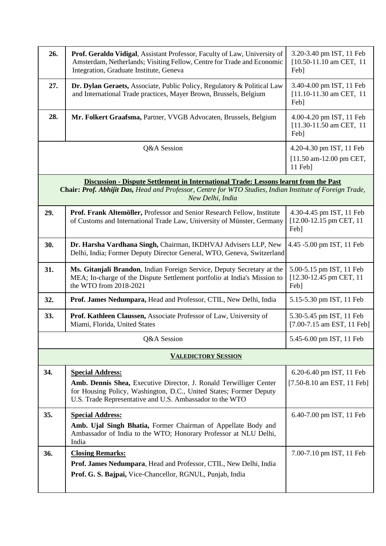| 26.                                                                                                                                                                                                                  | Prof. Geraldo Vidigal, Assistant Professor, Faculty of Law, University of<br>Amsterdam, Netherlands; Visiting Fellow, Centre for Trade and Economic<br>Integration, Graduate Institute, Geneva       | 3.20-3.40 pm IST, 11 Feb<br>[10.50-11.10 am CET, 11]<br>Feb]     |  |  |
|----------------------------------------------------------------------------------------------------------------------------------------------------------------------------------------------------------------------|------------------------------------------------------------------------------------------------------------------------------------------------------------------------------------------------------|------------------------------------------------------------------|--|--|
| 27.                                                                                                                                                                                                                  | Dr. Dylan Geraets, Associate, Public Policy, Regulatory & Political Law<br>and International Trade practices, Mayer Brown, Brussels, Belgium                                                         | 3.40-4.00 pm IST, 11 Feb<br>$[11.10-11.30$ am CET, 11<br>Feb]    |  |  |
| 28.                                                                                                                                                                                                                  | Mr. Folkert Graafsma, Partner, VVGB Advocaten, Brussels, Belgium                                                                                                                                     | 4.00-4.20 pm IST, 11 Feb<br>$[11.30-11.50$ am CET, 11<br>Feb]    |  |  |
|                                                                                                                                                                                                                      | Q&A Session                                                                                                                                                                                          | 4.20-4.30 pm IST, 11 Feb<br>[11.50 am-12.00 pm CET,<br>$11$ Feb] |  |  |
| Discussion - Dispute Settlement in International Trade: Lessons learnt from the Past<br>Chair: Prof. Abhijit Das, Head and Professor, Centre for WTO Studies, Indian Institute of Foreign Trade,<br>New Delhi, India |                                                                                                                                                                                                      |                                                                  |  |  |
| 29.                                                                                                                                                                                                                  | Prof. Frank Altemöller, Professor and Senior Research Fellow, Institute<br>of Customs and International Trade Law, University of Münster, Germany                                                    | 4.30-4.45 pm IST, 11 Feb<br>[12.00-12.15 pm CET, 11]<br>Feb]     |  |  |
| 30.                                                                                                                                                                                                                  | Dr. Harsha Vardhana Singh, Chairman, IKDHVAJ Advisers LLP, New<br>Delhi, India; Former Deputy Director General, WTO, Geneva, Switzerland                                                             | 4.45 -5.00 pm IST, 11 Feb                                        |  |  |
| 31.                                                                                                                                                                                                                  | Ms. Gitanjali Brandon, Indian Foreign Service, Deputy Secretary at the<br>MEA; In-charge of the Dispute Settlement portfolio at India's Mission to<br>the WTO from 2018-2021                         | 5.00-5.15 pm IST, 11 Feb<br>[12.30-12.45 pm CET, 11]<br>Feb]     |  |  |
| 32.                                                                                                                                                                                                                  | Prof. James Nedumpara, Head and Professor, CTIL, New Delhi, India                                                                                                                                    | 5.15-5.30 pm IST, 11 Feb                                         |  |  |
| 33.                                                                                                                                                                                                                  | Prof. Kathleen Claussen, Associate Professor of Law, University of<br>Miami, Florida, United States                                                                                                  | 5.30-5.45 pm IST, 11 Feb<br>[7.00-7.15 am EST, 11 Feb]           |  |  |
|                                                                                                                                                                                                                      | Q&A Session                                                                                                                                                                                          | 5.45-6.00 pm IST, 11 Feb                                         |  |  |
|                                                                                                                                                                                                                      | <b>VALEDICTORY SESSION</b>                                                                                                                                                                           |                                                                  |  |  |
| 34.                                                                                                                                                                                                                  | <b>Special Address:</b>                                                                                                                                                                              | 6.20-6.40 pm IST, 11 Feb                                         |  |  |
|                                                                                                                                                                                                                      | Amb. Dennis Shea, Executive Director, J. Ronald Terwilliger Center<br>for Housing Policy, Washington, D.C., United States; Former Deputy<br>U.S. Trade Representative and U.S. Ambassador to the WTO | [7.50-8.10 am EST, 11 Feb]                                       |  |  |
| 35.                                                                                                                                                                                                                  | <b>Special Address:</b><br>Amb. Ujal Singh Bhatia, Former Chairman of Appellate Body and<br>Ambassador of India to the WTO; Honorary Professor at NLU Delhi,<br>India                                | 6.40-7.00 pm IST, 11 Feb                                         |  |  |
| 36.                                                                                                                                                                                                                  | <b>Closing Remarks:</b><br>Prof. James Nedumpara, Head and Professor, CTIL, New Delhi, India<br>Prof. G. S. Bajpai, Vice-Chancellor, RGNUL, Punjab, India                                            | 7.00-7.10 pm IST, 11 Feb                                         |  |  |